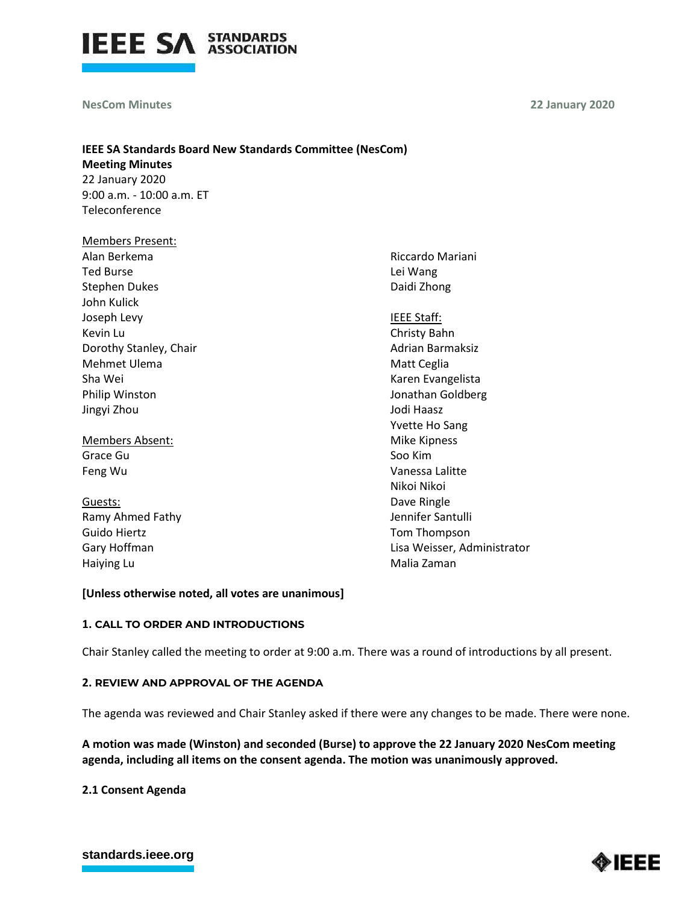

**NesCom Minutes** 

**22 January 2020**

# **IEEE SA Standards Board New Standards Committee (NesCom) Meeting Minutes** 22 January 2020 9:00 a.m. - 10:00 a.m. ET

Teleconference

| <b>Members Present:</b> |                                                                                                                                                                                                                                                                                                                                                                                                                                                                                                                  |
|-------------------------|------------------------------------------------------------------------------------------------------------------------------------------------------------------------------------------------------------------------------------------------------------------------------------------------------------------------------------------------------------------------------------------------------------------------------------------------------------------------------------------------------------------|
| Alan Berkema            | Riccardo Mariani                                                                                                                                                                                                                                                                                                                                                                                                                                                                                                 |
| <b>Ted Burse</b>        | Lei Wang                                                                                                                                                                                                                                                                                                                                                                                                                                                                                                         |
| <b>Stephen Dukes</b>    | Daidi Zhong                                                                                                                                                                                                                                                                                                                                                                                                                                                                                                      |
| John Kulick             |                                                                                                                                                                                                                                                                                                                                                                                                                                                                                                                  |
| Joseph Levy             | IEEE Staff:                                                                                                                                                                                                                                                                                                                                                                                                                                                                                                      |
| Kevin Lu                | Christy Bahn                                                                                                                                                                                                                                                                                                                                                                                                                                                                                                     |
| Dorothy Stanley, Chair  | Adrian Barmaksiz                                                                                                                                                                                                                                                                                                                                                                                                                                                                                                 |
| Mehmet Ulema            | Matt Ceglia                                                                                                                                                                                                                                                                                                                                                                                                                                                                                                      |
| Sha Wei                 | Karen Evangelista                                                                                                                                                                                                                                                                                                                                                                                                                                                                                                |
| Philip Winston          | Jonathan Goldber                                                                                                                                                                                                                                                                                                                                                                                                                                                                                                 |
| Jingyi Zhou             | Jodi Haasz                                                                                                                                                                                                                                                                                                                                                                                                                                                                                                       |
|                         | Yvette Ho Sang                                                                                                                                                                                                                                                                                                                                                                                                                                                                                                   |
| Members Absent:         | Mike Kipness                                                                                                                                                                                                                                                                                                                                                                                                                                                                                                     |
| Grace Gu                | Soo Kim                                                                                                                                                                                                                                                                                                                                                                                                                                                                                                          |
| Feng Wu                 | Vanessa Lalitte                                                                                                                                                                                                                                                                                                                                                                                                                                                                                                  |
|                         | Nikoi Nikoi                                                                                                                                                                                                                                                                                                                                                                                                                                                                                                      |
| Guests:                 | Dave Ringle                                                                                                                                                                                                                                                                                                                                                                                                                                                                                                      |
| Den ales al Perk        | $\mathbf{1} \times \mathbf{1} \times \mathbf{1} \times \mathbf{1} \times \mathbf{1} \times \mathbf{1} \times \mathbf{1} \times \mathbf{1} \times \mathbf{1} \times \mathbf{1} \times \mathbf{1} \times \mathbf{1} \times \mathbf{1} \times \mathbf{1} \times \mathbf{1} \times \mathbf{1} \times \mathbf{1} \times \mathbf{1} \times \mathbf{1} \times \mathbf{1} \times \mathbf{1} \times \mathbf{1} \times \mathbf{1} \times \mathbf{1} \times \mathbf{1} \times \mathbf{1} \times \mathbf{1} \times \mathbf{$ |

Ramy Ahmed Fathy Guido Hiertz Gary Hoffman Haiying Lu

Jonathan Goldberg Jennifer Santulli Tom Thompson Lisa Weisser, Administrator Malia Zaman

### **[Unless otherwise noted, all votes are unanimous]**

### **1. CALL TO ORDER AND INTRODUCTIONS**

Chair Stanley called the meeting to order at 9:00 a.m. There was a round of introductions by all present.

### **2. REVIEW AND APPROVAL OF THE AGENDA**

The agenda was reviewed and Chair Stanley asked if there were any changes to be made. There were none.

**A motion was made (Winston) and seconded (Burse) to approve the 22 January 2020 NesCom meeting agenda, including all items on the consent agenda. The motion was unanimously approved.**

**2.1 Consent Agenda**

# **[standards.ieee.org](http://standards.ieee.org/)**

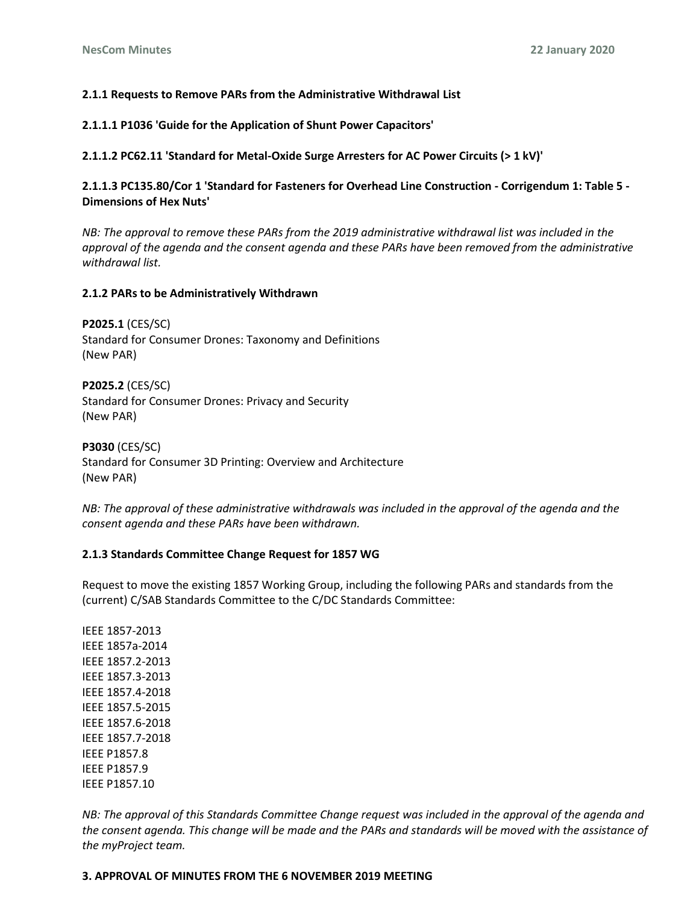### **2.1.1 Requests to Remove PARs from the Administrative Withdrawal List**

**2.1.1.1 P1036 'Guide for the Application of Shunt Power Capacitors'**

**2.1.1.2 PC62.11 'Standard for Metal-Oxide Surge Arresters for AC Power Circuits (> 1 kV)'**

**2.1.1.3 PC135.80/Cor 1 'Standard for Fasteners for Overhead Line Construction - Corrigendum 1: Table 5 - Dimensions of Hex Nuts'**

*NB: The approval to remove these PARs from the 2019 administrative withdrawal list was included in the approval of the agenda and the consent agenda and these PARs have been removed from the administrative withdrawal list.*

#### **2.1.2 PARs to be Administratively Withdrawn**

**P2025.1** (CES/SC) Standard for Consumer Drones: Taxonomy and Definitions (New PAR)

**P2025.2** (CES/SC) Standard for Consumer Drones: Privacy and Security (New PAR)

**P3030** (CES/SC) Standard for Consumer 3D Printing: Overview and Architecture (New PAR)

*NB: The approval of these administrative withdrawals was included in the approval of the agenda and the consent agenda and these PARs have been withdrawn.*

#### **2.1.3 Standards Committee Change Request for 1857 WG**

Request to move the existing 1857 Working Group, including the following PARs and standards from the (current) C/SAB Standards Committee to the C/DC Standards Committee:

IEEE 1857-2013 IEEE 1857a-2014 IEEE 1857.2-2013 IEEE 1857.3-2013 IEEE 1857.4-2018 IEEE 1857.5-2015 IEEE 1857.6-2018 IEEE 1857.7-2018 IEEE P1857.8 IEEE P1857.9 IEEE P1857.10

*NB: The approval of this Standards Committee Change request was included in the approval of the agenda and the consent agenda. This change will be made and the PARs and standards will be moved with the assistance of the myProject team.* 

#### **3. APPROVAL OF MINUTES FROM THE 6 NOVEMBER 2019 MEETING**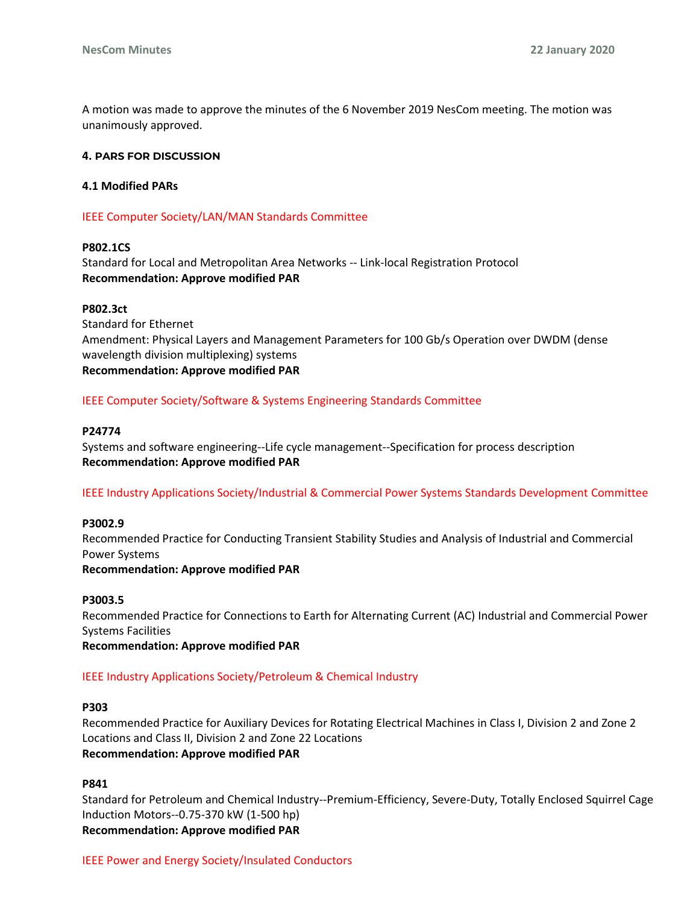A motion was made to approve the minutes of the 6 November 2019 NesCom meeting. The motion was unanimously approved.

#### **4. PARS FOR DISCUSSION**

#### **4.1 Modified PARs**

#### IEEE Computer Society/LAN/MAN Standards Committee

#### **P802.1CS**

Standard for Local and Metropolitan Area Networks -- Link-local Registration Protocol **Recommendation: Approve modified PAR**

#### **P802.3ct**

Standard for Ethernet Amendment: Physical Layers and Management Parameters for 100 Gb/s Operation over DWDM (dense wavelength division multiplexing) systems **Recommendation: Approve modified PAR**

#### IEEE Computer Society/Software & Systems Engineering Standards Committee

#### **P24774**

Systems and software engineering--Life cycle management--Specification for process description **Recommendation: Approve modified PAR**

#### IEEE Industry Applications Society/Industrial & Commercial Power Systems Standards Development Committee

#### **P3002.9**

Recommended Practice for Conducting Transient Stability Studies and Analysis of Industrial and Commercial Power Systems **Recommendation: Approve modified PAR**

#### **P3003.5**

Recommended Practice for Connections to Earth for Alternating Current (AC) Industrial and Commercial Power Systems Facilities

**Recommendation: Approve modified PAR**

#### IEEE Industry Applications Society/Petroleum & Chemical Industry

#### **P303**

Recommended Practice for Auxiliary Devices for Rotating Electrical Machines in Class I, Division 2 and Zone 2 Locations and Class II, Division 2 and Zone 22 Locations **Recommendation: Approve modified PAR**

#### **P841**

Standard for Petroleum and Chemical Industry--Premium-Efficiency, Severe-Duty, Totally Enclosed Squirrel Cage Induction Motors--0.75-370 kW (1-500 hp) **Recommendation: Approve modified PAR**

#### IEEE Power and Energy Society/Insulated Conductors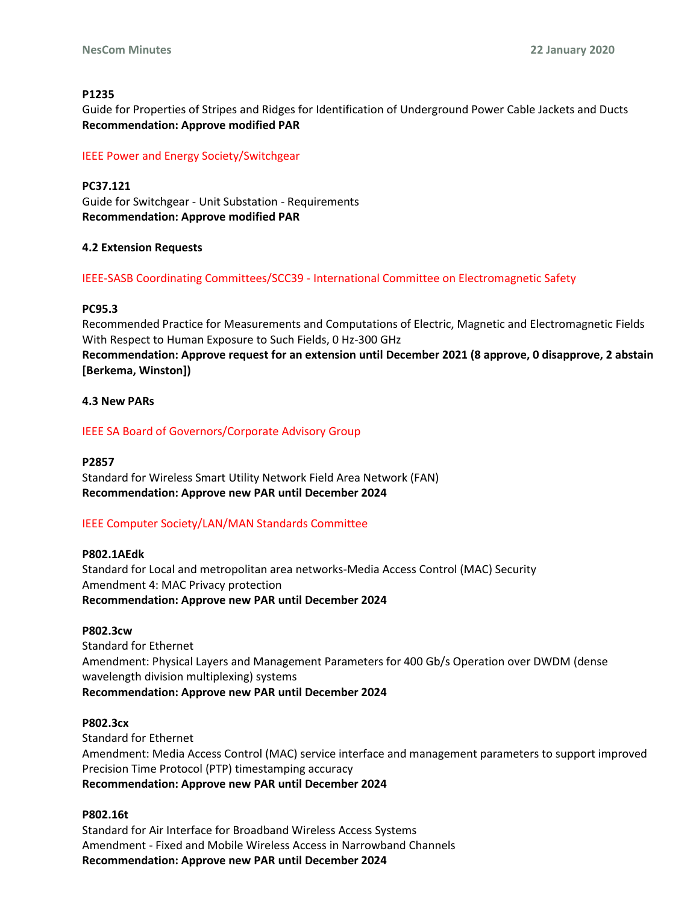### **P1235**

Guide for Properties of Stripes and Ridges for Identification of Underground Power Cable Jackets and Ducts **Recommendation: Approve modified PAR**

IEEE Power and Energy Society/Switchgear

**PC37.121** Guide for Switchgear - Unit Substation - Requirements **Recommendation: Approve modified PAR**

# **4.2 Extension Requests**

IEEE-SASB Coordinating Committees/SCC39 - International Committee on Electromagnetic Safety

### **PC95.3**

Recommended Practice for Measurements and Computations of Electric, Magnetic and Electromagnetic Fields With Respect to Human Exposure to Such Fields, 0 Hz-300 GHz **Recommendation: Approve request for an extension until December 2021 (8 approve, 0 disapprove, 2 abstain [Berkema, Winston])**

# **4.3 New PARs**

IEEE SA Board of Governors/Corporate Advisory Group

### **P2857**

Standard for Wireless Smart Utility Network Field Area Network (FAN) **Recommendation: Approve new PAR until December 2024**

# IEEE Computer Society/LAN/MAN Standards Committee

### **P802.1AEdk**

Standard for Local and metropolitan area networks-Media Access Control (MAC) Security Amendment 4: MAC Privacy protection **Recommendation: Approve new PAR until December 2024**

### **P802.3cw**

Standard for Ethernet Amendment: Physical Layers and Management Parameters for 400 Gb/s Operation over DWDM (dense wavelength division multiplexing) systems **Recommendation: Approve new PAR until December 2024**

### **P802.3cx**

Standard for Ethernet Amendment: Media Access Control (MAC) service interface and management parameters to support improved Precision Time Protocol (PTP) timestamping accuracy **Recommendation: Approve new PAR until December 2024**

### **P802.16t**

Standard for Air Interface for Broadband Wireless Access Systems Amendment - Fixed and Mobile Wireless Access in Narrowband Channels **Recommendation: Approve new PAR until December 2024**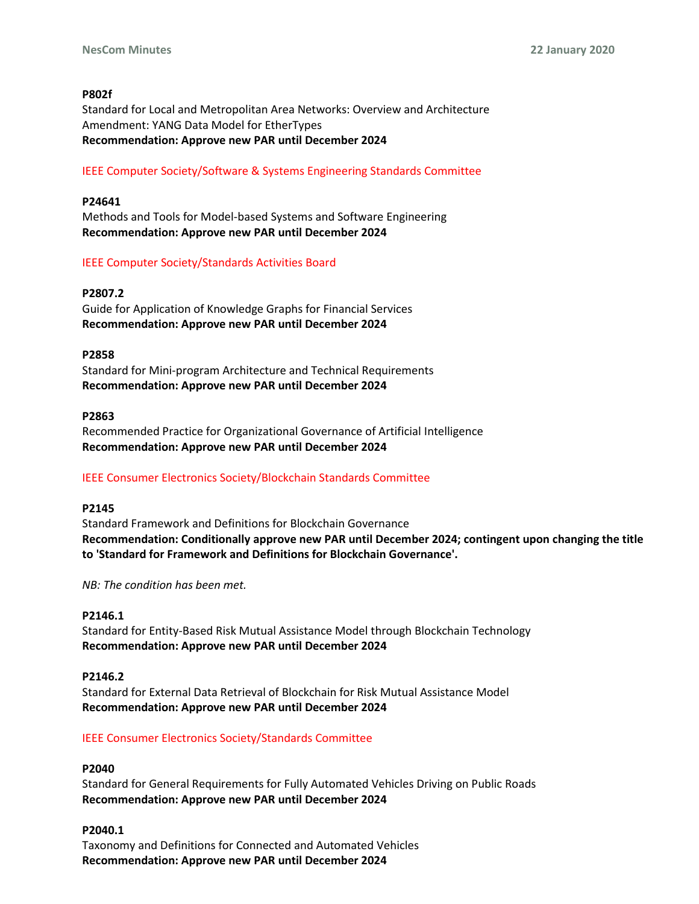### **P802f**

Standard for Local and Metropolitan Area Networks: Overview and Architecture Amendment: YANG Data Model for EtherTypes **Recommendation: Approve new PAR until December 2024**

### IEEE Computer Society/Software & Systems Engineering Standards Committee

# **P24641**

Methods and Tools for Model-based Systems and Software Engineering **Recommendation: Approve new PAR until December 2024**

# IEEE Computer Society/Standards Activities Board

### **P2807.2**

Guide for Application of Knowledge Graphs for Financial Services **Recommendation: Approve new PAR until December 2024**

### **P2858**

Standard for Mini-program Architecture and Technical Requirements **Recommendation: Approve new PAR until December 2024**

### **P2863**

Recommended Practice for Organizational Governance of Artificial Intelligence **Recommendation: Approve new PAR until December 2024**

# IEEE Consumer Electronics Society/Blockchain Standards Committee

### **P2145**

Standard Framework and Definitions for Blockchain Governance **Recommendation: Conditionally approve new PAR until December 2024; contingent upon changing the title to 'Standard for Framework and Definitions for Blockchain Governance'.**

*NB: The condition has been met.*

### **P2146.1**

Standard for Entity-Based Risk Mutual Assistance Model through Blockchain Technology **Recommendation: Approve new PAR until December 2024**

### **P2146.2**

Standard for External Data Retrieval of Blockchain for Risk Mutual Assistance Model **Recommendation: Approve new PAR until December 2024**

### IEEE Consumer Electronics Society/Standards Committee

### **P2040**

Standard for General Requirements for Fully Automated Vehicles Driving on Public Roads **Recommendation: Approve new PAR until December 2024**

### **P2040.1**

Taxonomy and Definitions for Connected and Automated Vehicles **Recommendation: Approve new PAR until December 2024**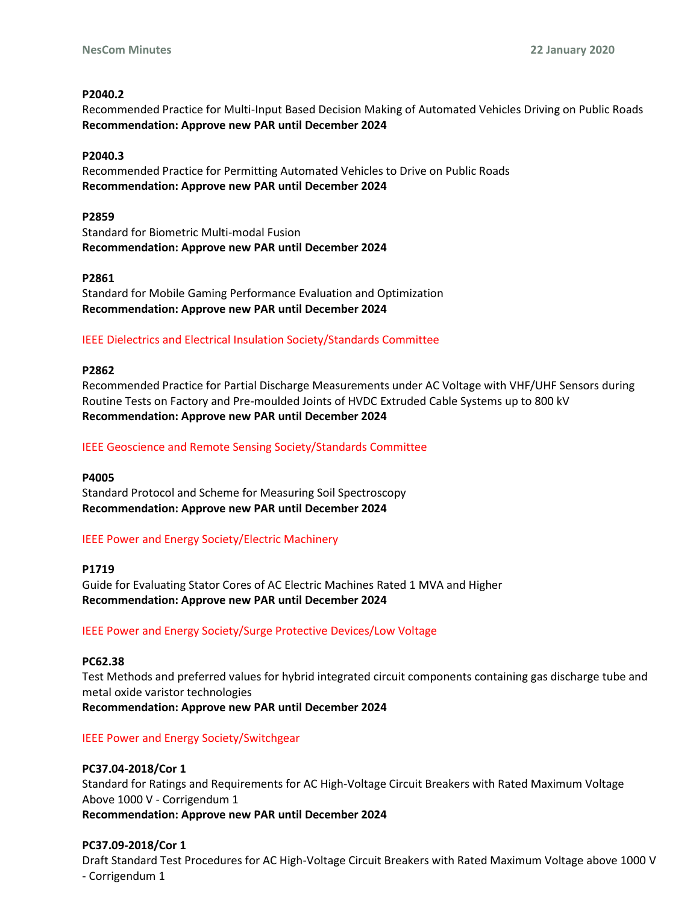### **P2040.2**

Recommended Practice for Multi-Input Based Decision Making of Automated Vehicles Driving on Public Roads **Recommendation: Approve new PAR until December 2024**

### **P2040.3**

Recommended Practice for Permitting Automated Vehicles to Drive on Public Roads **Recommendation: Approve new PAR until December 2024**

### **P2859**

Standard for Biometric Multi-modal Fusion **Recommendation: Approve new PAR until December 2024**

### **P2861**

Standard for Mobile Gaming Performance Evaluation and Optimization **Recommendation: Approve new PAR until December 2024**

### IEEE Dielectrics and Electrical Insulation Society/Standards Committee

#### **P2862**

Recommended Practice for Partial Discharge Measurements under AC Voltage with VHF/UHF Sensors during Routine Tests on Factory and Pre-moulded Joints of HVDC Extruded Cable Systems up to 800 kV **Recommendation: Approve new PAR until December 2024**

### IEEE Geoscience and Remote Sensing Society/Standards Committee

### **P4005**

Standard Protocol and Scheme for Measuring Soil Spectroscopy **Recommendation: Approve new PAR until December 2024**

### IEEE Power and Energy Society/Electric Machinery

#### **P1719**

Guide for Evaluating Stator Cores of AC Electric Machines Rated 1 MVA and Higher **Recommendation: Approve new PAR until December 2024**

### IEEE Power and Energy Society/Surge Protective Devices/Low Voltage

#### **PC62.38**

Test Methods and preferred values for hybrid integrated circuit components containing gas discharge tube and metal oxide varistor technologies

**Recommendation: Approve new PAR until December 2024**

### IEEE Power and Energy Society/Switchgear

### **PC37.04-2018/Cor 1**

Standard for Ratings and Requirements for AC High-Voltage Circuit Breakers with Rated Maximum Voltage Above 1000 V - Corrigendum 1 **Recommendation: Approve new PAR until December 2024**

#### **PC37.09-2018/Cor 1**

Draft Standard Test Procedures for AC High-Voltage Circuit Breakers with Rated Maximum Voltage above 1000 V - Corrigendum 1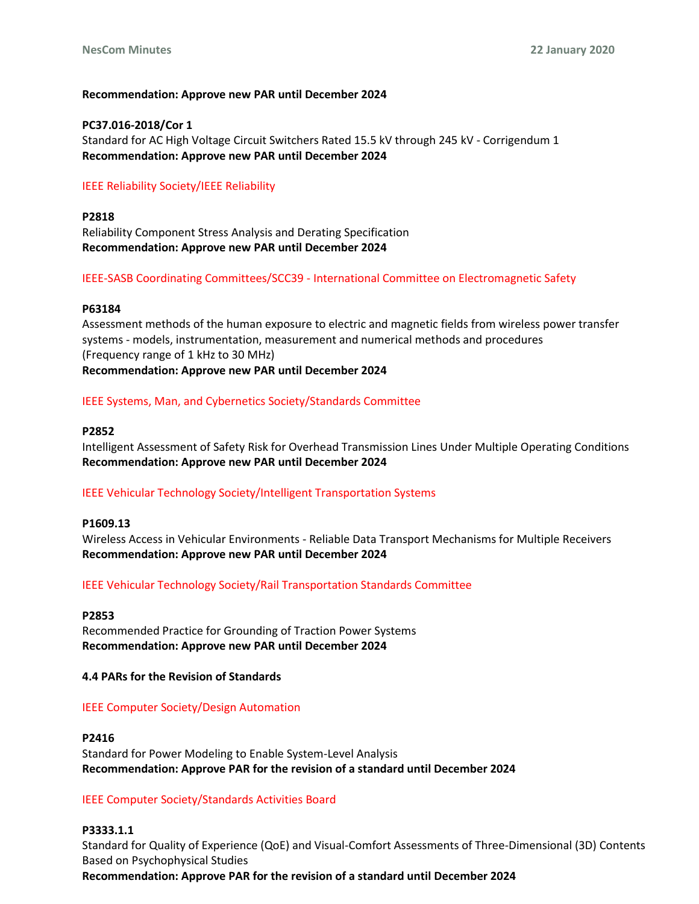#### **Recommendation: Approve new PAR until December 2024**

### **PC37.016-2018/Cor 1**

Standard for AC High Voltage Circuit Switchers Rated 15.5 kV through 245 kV - Corrigendum 1 **Recommendation: Approve new PAR until December 2024**

### IEEE Reliability Society/IEEE Reliability

**P2818** Reliability Component Stress Analysis and Derating Specification **Recommendation: Approve new PAR until December 2024**

### IEEE-SASB Coordinating Committees/SCC39 - International Committee on Electromagnetic Safety

#### **P63184**

Assessment methods of the human exposure to electric and magnetic fields from wireless power transfer systems - models, instrumentation, measurement and numerical methods and procedures (Frequency range of 1 kHz to 30 MHz)

**Recommendation: Approve new PAR until December 2024**

#### IEEE Systems, Man, and Cybernetics Society/Standards Committee

#### **P2852**

Intelligent Assessment of Safety Risk for Overhead Transmission Lines Under Multiple Operating Conditions **Recommendation: Approve new PAR until December 2024**

#### IEEE Vehicular Technology Society/Intelligent Transportation Systems

#### **P1609.13**

Wireless Access in Vehicular Environments - Reliable Data Transport Mechanisms for Multiple Receivers **Recommendation: Approve new PAR until December 2024**

#### IEEE Vehicular Technology Society/Rail Transportation Standards Committee

### **P2853**

Recommended Practice for Grounding of Traction Power Systems **Recommendation: Approve new PAR until December 2024**

### **4.4 PARs for the Revision of Standards**

# IEEE Computer Society/Design Automation

### **P2416**

Standard for Power Modeling to Enable System-Level Analysis **Recommendation: Approve PAR for the revision of a standard until December 2024**

# IEEE Computer Society/Standards Activities Board

# **P3333.1.1**

Standard for Quality of Experience (QoE) and Visual-Comfort Assessments of Three-Dimensional (3D) Contents Based on Psychophysical Studies

**Recommendation: Approve PAR for the revision of a standard until December 2024**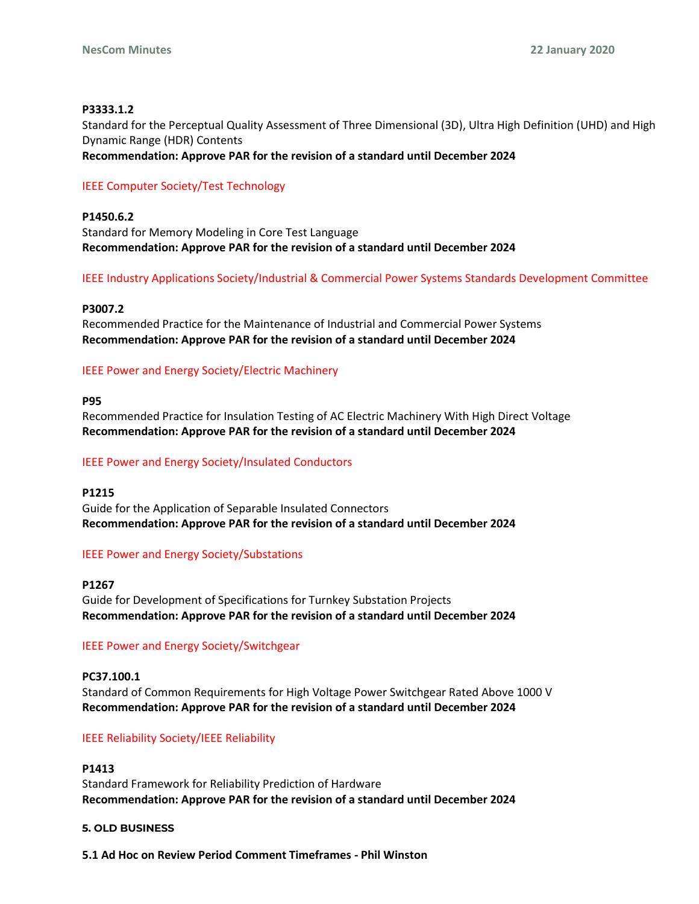### **P3333.1.2**

Standard for the Perceptual Quality Assessment of Three Dimensional (3D), Ultra High Definition (UHD) and High Dynamic Range (HDR) Contents

**Recommendation: Approve PAR for the revision of a standard until December 2024**

### IEEE Computer Society/Test Technology

**P1450.6.2** Standard for Memory Modeling in Core Test Language **Recommendation: Approve PAR for the revision of a standard until December 2024**

IEEE Industry Applications Society/Industrial & Commercial Power Systems Standards Development Committee

#### **P3007.2**

Recommended Practice for the Maintenance of Industrial and Commercial Power Systems **Recommendation: Approve PAR for the revision of a standard until December 2024**

### IEEE Power and Energy Society/Electric Machinery

#### **P95**

Recommended Practice for Insulation Testing of AC Electric Machinery With High Direct Voltage **Recommendation: Approve PAR for the revision of a standard until December 2024**

#### IEEE Power and Energy Society/Insulated Conductors

#### **P1215**

Guide for the Application of Separable Insulated Connectors **Recommendation: Approve PAR for the revision of a standard until December 2024**

#### IEEE Power and Energy Society/Substations

#### **P1267**

Guide for Development of Specifications for Turnkey Substation Projects **Recommendation: Approve PAR for the revision of a standard until December 2024**

#### IEEE Power and Energy Society/Switchgear

#### **PC37.100.1**

Standard of Common Requirements for High Voltage Power Switchgear Rated Above 1000 V **Recommendation: Approve PAR for the revision of a standard until December 2024**

#### IEEE Reliability Society/IEEE Reliability

#### **P1413**

Standard Framework for Reliability Prediction of Hardware **Recommendation: Approve PAR for the revision of a standard until December 2024**

#### **5. OLD BUSINESS**

**5.1 Ad Hoc on Review Period Comment Timeframes - Phil Winston**